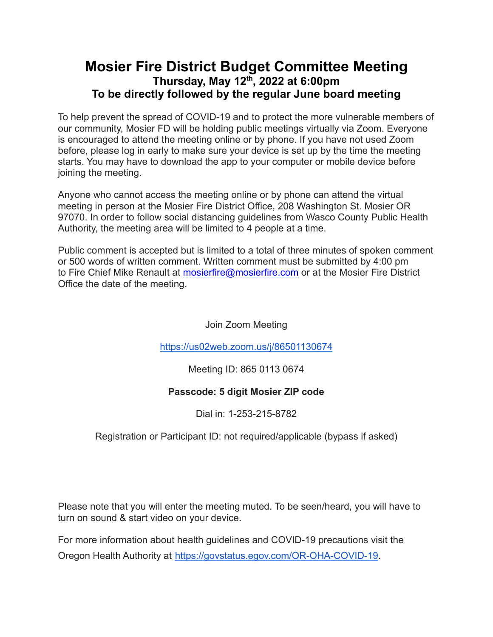## **Mosier Fire District Budget Committee Meeting Thursday, May 12 th , 2022 at 6:00pm To be directly followed by the regular June board meeting**

To help prevent the spread of COVID-19 and to protect the more vulnerable members of our community, Mosier FD will be holding public meetings virtually via Zoom. Everyone is encouraged to attend the meeting online or by phone. If you have not used Zoom before, please log in early to make sure your device is set up by the time the meeting starts. You may have to download the app to your computer or mobile device before joining the meeting.

Anyone who cannot access the meeting online or by phone can attend the virtual meeting in person at the Mosier Fire District Office, 208 Washington St. Mosier OR 97070. In order to follow social distancing guidelines from Wasco County Public Health Authority, the meeting area will be limited to 4 people at a time.

Public comment is accepted but is limited to a total of three minutes of spoken comment or 500 words of written comment. Written comment must be submitted by 4:00 pm to Fire Chief Mike Renault at **[mosierfire@mosierfire.com](mailto:mosierfire@mosierfire.com)** or at the Mosier Fire District Office the date of the meeting.

Join Zoom Meeting

<https://us02web.zoom.us/j/86501130674>

Meeting ID: 865 0113 0674

### **Passcode: 5 digit Mosier ZIP code**

Dial in: 1-253-215-8782

Registration or Participant ID: not required/applicable (bypass if asked)

Please note that you will enter the meeting muted. To be seen/heard, you will have to turn on sound & start video on your device.

For more information about health guidelines and COVID-19 precautions visit the Oregon Health Authority at [https://govstatus.egov.com/OR-OHA-COVID-19.](https://govstatus.egov.com/OR-OHA-COVID-19)